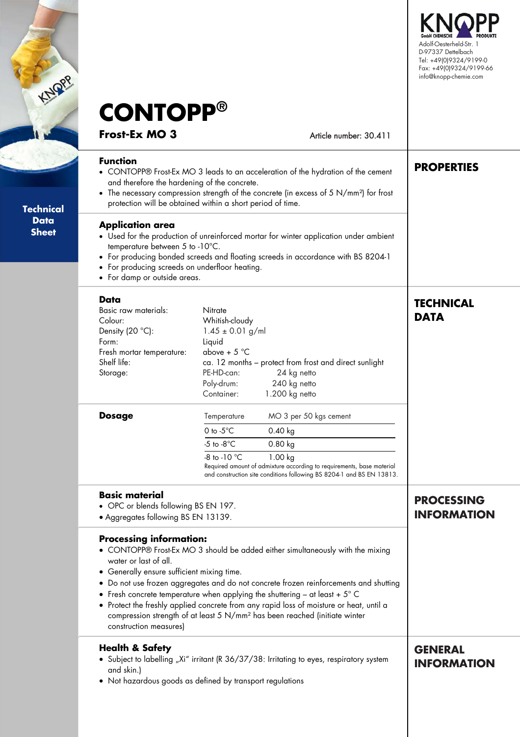

| <b>Function</b><br>Technical<br><b>Data</b><br><b>Sheet</b><br>Data<br>Colour:<br>Form:<br>Shelf life:<br>Storage:<br><b>Dosage</b> | <b>CONTOPP®</b><br><b>Frost-Ex MO 3</b><br><b>Application area</b><br>temperature between 5 to -10°C.<br>• For damp or outside areas.<br>Basic raw materials:<br>Density (20 °C):<br>Fresh mortar temperature: | Article number: 30.411<br>• CONTOPP® Frost-Ex MO 3 leads to an acceleration of the hydration of the cement<br>and therefore the hardening of the concrete.<br>• The necessary compression strength of the concrete (in excess of 5 N/mm <sup>2</sup> ) for frost<br>protection will be obtained within a short period of time.<br>• Used for the production of unreinforced mortar for winter application under ambient<br>• For producing bonded screeds and floating screeds in accordance with BS 8204-1<br>• For producing screeds on underfloor heating.<br>Nitrate<br>Whitish-cloudy<br>$1.45 \pm 0.01$ g/ml<br>Liquid<br>above + $5^{\circ}$ C<br>ca. 12 months - protect from frost and direct sunlight<br>24 kg netto<br>PE-HD-can: | <b>PROPERTIES</b><br><b>TECHNICAL</b><br><b>DATA</b> |
|-------------------------------------------------------------------------------------------------------------------------------------|----------------------------------------------------------------------------------------------------------------------------------------------------------------------------------------------------------------|----------------------------------------------------------------------------------------------------------------------------------------------------------------------------------------------------------------------------------------------------------------------------------------------------------------------------------------------------------------------------------------------------------------------------------------------------------------------------------------------------------------------------------------------------------------------------------------------------------------------------------------------------------------------------------------------------------------------------------------------|------------------------------------------------------|
|                                                                                                                                     |                                                                                                                                                                                                                |                                                                                                                                                                                                                                                                                                                                                                                                                                                                                                                                                                                                                                                                                                                                              |                                                      |
|                                                                                                                                     |                                                                                                                                                                                                                |                                                                                                                                                                                                                                                                                                                                                                                                                                                                                                                                                                                                                                                                                                                                              |                                                      |
|                                                                                                                                     |                                                                                                                                                                                                                |                                                                                                                                                                                                                                                                                                                                                                                                                                                                                                                                                                                                                                                                                                                                              |                                                      |
|                                                                                                                                     |                                                                                                                                                                                                                |                                                                                                                                                                                                                                                                                                                                                                                                                                                                                                                                                                                                                                                                                                                                              |                                                      |
|                                                                                                                                     |                                                                                                                                                                                                                | Poly-drum:<br>240 kg netto<br>Container:<br>1.200 kg netto                                                                                                                                                                                                                                                                                                                                                                                                                                                                                                                                                                                                                                                                                   |                                                      |
|                                                                                                                                     |                                                                                                                                                                                                                | MO 3 per 50 kgs cement<br>Temperature<br>0 to $-5^{\circ}$ C<br>$0.40$ kg<br>$-5$ to $-8^{\circ}$ C<br>$0.80$ kg<br>-8 to -10 °C<br>1.00 kg<br>Required amount of admixture according to requirements, base material<br>and construction site conditions following BS 8204-1 and BS EN 13813.                                                                                                                                                                                                                                                                                                                                                                                                                                                |                                                      |
|                                                                                                                                     | <b>Basic material</b><br>• OPC or blends following BS EN 197.<br>• Aggregates following BS EN 13139.                                                                                                           |                                                                                                                                                                                                                                                                                                                                                                                                                                                                                                                                                                                                                                                                                                                                              | <b>PROCESSING</b><br><b>INFORMATION</b>              |
| $\bullet$                                                                                                                           | <b>Processing information:</b><br>water or last of all.<br>Generally ensure sufficient mixing time.<br>construction measures)                                                                                  | • CONTOPP® Frost-Ex MO 3 should be added either simultaneously with the mixing<br>• Do not use frozen aggregates and do not concrete frozen reinforcements and shutting<br>• Fresh concrete temperature when applying the shuttering – at least + $5^{\circ}$ C<br>• Protect the freshly applied concrete from any rapid loss of moisture or heat, until a<br>compression strength of at least 5 N/mm <sup>2</sup> has been reached (initiate winter                                                                                                                                                                                                                                                                                         |                                                      |
|                                                                                                                                     | <b>Health &amp; Safety</b><br>and skin.)                                                                                                                                                                       | • Subject to labelling "Xi" irritant (R 36/37/38: Irritating to eyes, respiratory system<br>• Not hazardous goods as defined by transport regulations                                                                                                                                                                                                                                                                                                                                                                                                                                                                                                                                                                                        | <b>GENERAL</b><br><b>INFORMATION</b>                 |

 $\sim$